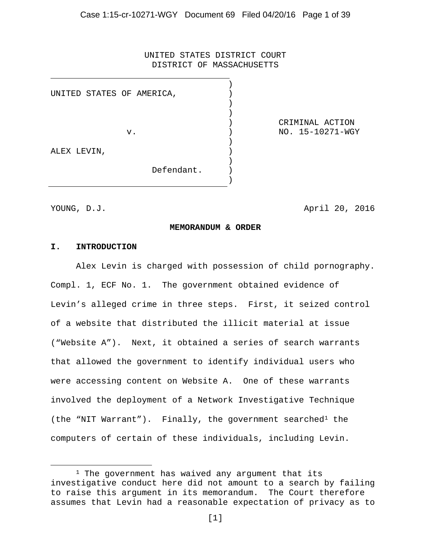## Case 1:15-cr-10271-WGY Document 69 Filed 04/20/16 Page 1 of 39

UNITED STATES DISTRICT COURT DISTRICT OF MASSACHUSETTS

| UNITED STATES OF AMERICA, |                                     |
|---------------------------|-------------------------------------|
| v.                        | CRIMINAL ACTION<br>NO. 15-10271-WGY |
| ALEX LEVIN,<br>Defendant. |                                     |

Ĩ

YOUNG, D.J. April 20, 2016

#### **MEMORANDUM & ORDER**

#### **I. INTRODUCTION**

Alex Levin is charged with possession of child pornography. Compl. 1, ECF No. 1. The government obtained evidence of Levin's alleged crime in three steps. First, it seized control of a website that distributed the illicit material at issue ("Website A"). Next, it obtained a series of search warrants that allowed the government to identify individual users who were accessing content on Website A. One of these warrants involved the deployment of a Network Investigative Technique (the "NIT Warrant"). Finally, the government searched<sup>[1](#page-0-0)</sup> the computers of certain of these individuals, including Levin.

<span id="page-0-0"></span> $1$  The government has waived any argument that its investigative conduct here did not amount to a search by failing to raise this argument in its memorandum. The Court therefore assumes that Levin had a reasonable expectation of privacy as to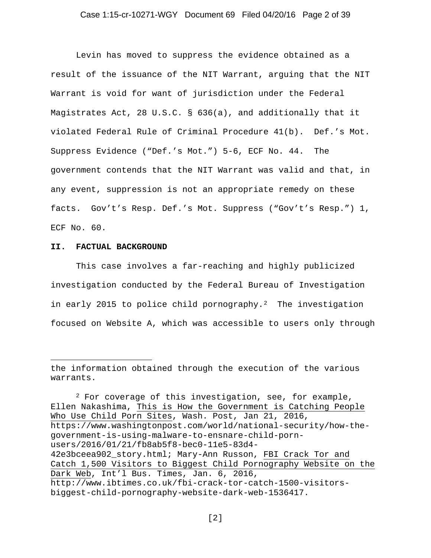Levin has moved to suppress the evidence obtained as a result of the issuance of the NIT Warrant, arguing that the NIT Warrant is void for want of jurisdiction under the Federal Magistrates Act, 28 U.S.C. § 636(a), and additionally that it violated Federal Rule of Criminal Procedure 41(b). Def.'s Mot. Suppress Evidence ("Def.'s Mot.") 5-6, ECF No. 44. The government contends that the NIT Warrant was valid and that, in any event, suppression is not an appropriate remedy on these facts. Gov't's Resp. Def.'s Mot. Suppress ("Gov't's Resp.") 1, ECF No. 60.

#### **II. FACTUAL BACKGROUND**

ł

This case involves a far-reaching and highly publicized investigation conducted by the Federal Bureau of Investigation in early 2015 to police child pornography.<sup>2</sup> The investigation focused on Website A, which was accessible to users only through

the information obtained through the execution of the various warrants.

<span id="page-1-0"></span> $2$  For coverage of this investigation, see, for example, Ellen Nakashima, This is How the Government is Catching People Who Use Child Porn Sites, Wash. Post, Jan 21, 2016, https://www.washingtonpost.com/world/national-security/how-thegovernment-is-using-malware-to-ensnare-child-pornusers/2016/01/21/fb8ab5f8-bec0-11e5-83d4- 42e3bceea902\_story.html; Mary-Ann Russon, FBI Crack Tor and Catch 1,500 Visitors to Biggest Child Pornography Website on the Dark Web, Int'l Bus. Times, Jan. 6, 2016, http://www.ibtimes.co.uk/fbi-crack-tor-catch-1500-visitors-

biggest-child-pornography-website-dark-web-1536417.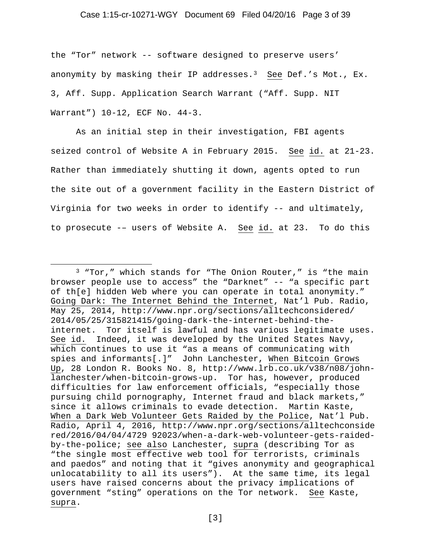#### Case 1:15-cr-10271-WGY Document 69 Filed 04/20/16 Page 3 of 39

the "Tor" network -- software designed to preserve users' anonymity by masking their IP addresses.<sup>3</sup> See Def.'s Mot., Ex. 3, Aff. Supp. Application Search Warrant ("Aff. Supp. NIT Warrant") 10-12, ECF No. 44-3.

As an initial step in their investigation, FBI agents seized control of Website A in February 2015. See id. at 21-23. Rather than immediately shutting it down, agents opted to run the site out of a government facility in the Eastern District of Virginia for two weeks in order to identify -- and ultimately, to prosecute -– users of Website A. See id. at 23. To do this

<span id="page-2-0"></span>Ξ <sup>3</sup> "Tor," which stands for "The Onion Router," is "the main browser people use to access" the "Darknet" -- "a specific part of th[e] hidden Web where you can operate in total anonymity." Going Dark: The Internet Behind the Internet, Nat'l Pub. Radio, May 25, 2014, http://www.npr.org/sections/alltechconsidered/ 2014/05/25/315821415/going-dark-the-internet-behind-theinternet. Tor itself is lawful and has various legitimate uses. See id. Indeed, it was developed by the United States Navy, which continues to use it "as a means of communicating with spies and informants[.]" John Lanchester, When Bitcoin Grows Up, 28 London R. Books No. 8, http://www.lrb.co.uk/v38/n08/johnlanchester/when-bitcoin-grows-up. Tor has, however, produced difficulties for law enforcement officials, "especially those pursuing child pornography, Internet fraud and black markets," since it allows criminals to evade detection. Martin Kaste, When a Dark Web Volunteer Gets Raided by the Police, Nat'l Pub. Radio, April 4, 2016, http://www.npr.org/sections/alltechconside red/2016/04/04/4729 92023/when-a-dark-web-volunteer-gets-raidedby-the-police; see also Lanchester, supra (describing Tor as "the single most effective web tool for terrorists, criminals and paedos" and noting that it "gives anonymity and geographical unlocatability to all its users"). At the same time, its legal users have raised concerns about the privacy implications of government "sting" operations on the Tor network. See Kaste, supra.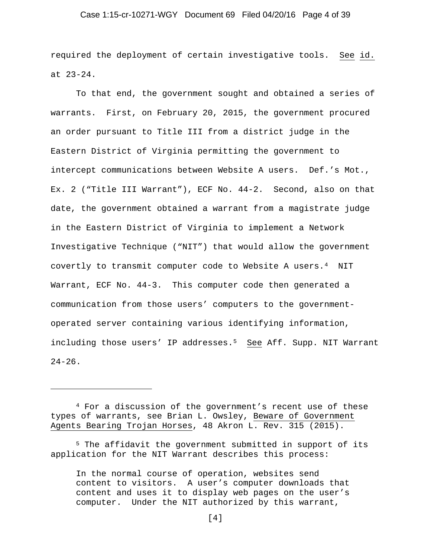### Case 1:15-cr-10271-WGY Document 69 Filed 04/20/16 Page 4 of 39

required the deployment of certain investigative tools. See id. at 23-24.

To that end, the government sought and obtained a series of warrants. First, on February 20, 2015, the government procured an order pursuant to Title III from a district judge in the Eastern District of Virginia permitting the government to intercept communications between Website A users. Def.'s Mot., Ex. 2 ("Title III Warrant"), ECF No. 44-2. Second, also on that date, the government obtained a warrant from a magistrate judge in the Eastern District of Virginia to implement a Network Investigative Technique ("NIT") that would allow the government covertly to transmit computer code to Website A users.[4](#page-3-0) NIT Warrant, ECF No. 44-3. This computer code then generated a communication from those users' computers to the governmentoperated server containing various identifying information, including those users' IP addresses.<sup>5</sup> See Aff. Supp. NIT Warrant  $24 - 26$ .

Ξ

<span id="page-3-0"></span><sup>4</sup> For a discussion of the government's recent use of these types of warrants, see Brian L. Owsley, Beware of Government Agents Bearing Trojan Horses, 48 Akron L. Rev. 315 (2015).

<span id="page-3-1"></span><sup>5</sup> The affidavit the government submitted in support of its application for the NIT Warrant describes this process:

In the normal course of operation, websites send content to visitors. A user's computer downloads that content and uses it to display web pages on the user's computer. Under the NIT authorized by this warrant,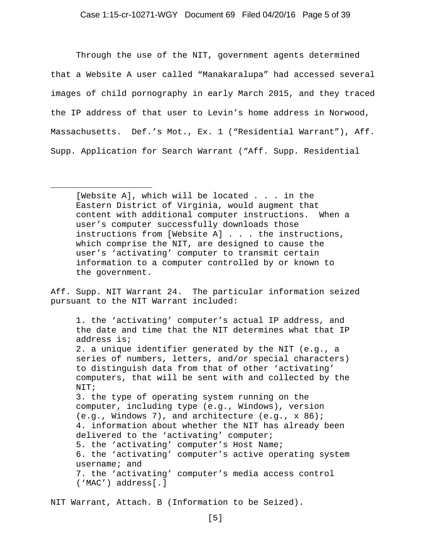#### Case 1:15-cr-10271-WGY Document 69 Filed 04/20/16 Page 5 of 39

Through the use of the NIT, government agents determined that a Website A user called "Manakaralupa" had accessed several images of child pornography in early March 2015, and they traced the IP address of that user to Levin's home address in Norwood, Massachusetts. Def.'s Mot., Ex. 1 ("Residential Warrant"), Aff. Supp. Application for Search Warrant ("Aff. Supp. Residential

Ĩ

Aff. Supp. NIT Warrant 24. The particular information seized pursuant to the NIT Warrant included:

1. the 'activating' computer's actual IP address, and the date and time that the NIT determines what that IP address is; 2. a unique identifier generated by the NIT (e.g., a series of numbers, letters, and/or special characters) to distinguish data from that of other 'activating' computers, that will be sent with and collected by the NIT; 3. the type of operating system running on the computer, including type (e.g., Windows), version (e.g., Windows 7), and architecture (e.g., x 86); 4. information about whether the NIT has already been delivered to the 'activating' computer; 5. the 'activating' computer's Host Name; 6. the 'activating' computer's active operating system username; and 7. the 'activating' computer's media access control ('MAC') address[.]

NIT Warrant, Attach. B (Information to be Seized).

<sup>[</sup>Website A], which will be located . . . in the Eastern District of Virginia, would augment that content with additional computer instructions. When a user's computer successfully downloads those instructions from [Website A] . . . the instructions, which comprise the NIT, are designed to cause the user's 'activating' computer to transmit certain information to a computer controlled by or known to the government.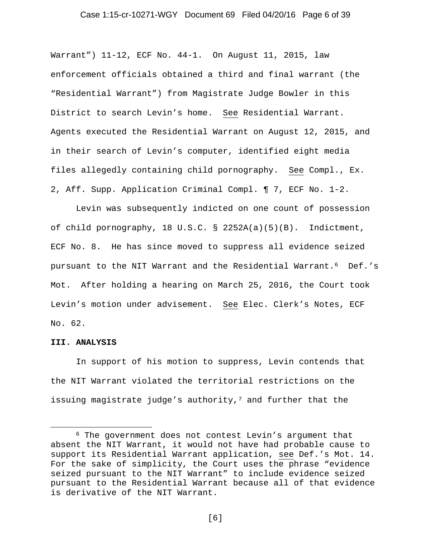#### Case 1:15-cr-10271-WGY Document 69 Filed 04/20/16 Page 6 of 39

Warrant") 11-12, ECF No. 44-1. On August 11, 2015, law enforcement officials obtained a third and final warrant (the "Residential Warrant") from Magistrate Judge Bowler in this District to search Levin's home. See Residential Warrant. Agents executed the Residential Warrant on August 12, 2015, and in their search of Levin's computer, identified eight media files allegedly containing child pornography. See Compl., Ex. 2, Aff. Supp. Application Criminal Compl. ¶ 7, ECF No. 1-2.

Levin was subsequently indicted on one count of possession of child pornography, 18 U.S.C. § 2252A(a)(5)(B). Indictment, ECF No. 8. He has since moved to suppress all evidence seized pursuant to the NIT Warrant and the Residential Warrant.<sup>6</sup> Def.'s Mot. After holding a hearing on March 25, 2016, the Court took Levin's motion under advisement. See Elec. Clerk's Notes, ECF No. 62.

#### <span id="page-5-1"></span>**III. ANALYSIS**

Ξ

In support of his motion to suppress, Levin contends that the NIT Warrant violated the territorial restrictions on the issuing magistrate judge's authority, $7$  and further that the

[6]

<span id="page-5-0"></span><sup>6</sup> The government does not contest Levin's argument that absent the NIT Warrant, it would not have had probable cause to support its Residential Warrant application, see Def.'s Mot. 14. For the sake of simplicity, the Court uses the phrase "evidence seized pursuant to the NIT Warrant" to include evidence seized pursuant to the Residential Warrant because all of that evidence is derivative of the NIT Warrant.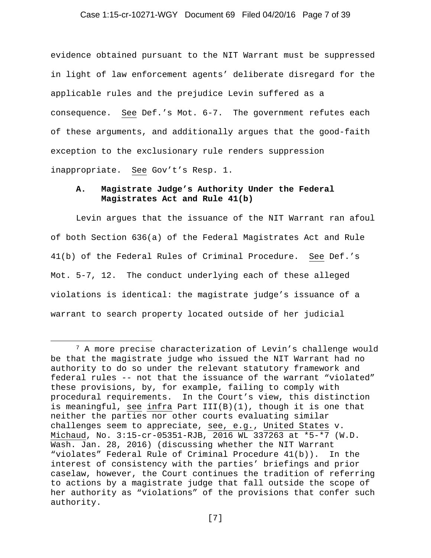#### Case 1:15-cr-10271-WGY Document 69 Filed 04/20/16 Page 7 of 39

evidence obtained pursuant to the NIT Warrant must be suppressed in light of law enforcement agents' deliberate disregard for the applicable rules and the prejudice Levin suffered as a consequence. See Def.'s Mot. 6-7. The government refutes each of these arguments, and additionally argues that the good-faith exception to the exclusionary rule renders suppression inappropriate. See Gov't's Resp. 1.

## **A. Magistrate Judge's Authority Under the Federal Magistrates Act and Rule 41(b)**

Levin argues that the issuance of the NIT Warrant ran afoul of both Section 636(a) of the Federal Magistrates Act and Rule 41(b) of the Federal Rules of Criminal Procedure. See Def.'s Mot. 5-7, 12. The conduct underlying each of these alleged violations is identical: the magistrate judge's issuance of a warrant to search property located outside of her judicial

Ĩ <sup>7</sup> A more precise characterization of Levin's challenge would be that the magistrate judge who issued the NIT Warrant had no authority to do so under the relevant statutory framework and federal rules -- not that the issuance of the warrant "violated" these provisions, by, for example, failing to comply with procedural requirements. In the Court's view, this distinction is meaningful, see infra Part III(B)(1), though it is one that neither the parties nor other courts evaluating similar challenges seem to appreciate, see, e.g., United States v. Michaud, No. 3:15-cr-05351-RJB, 2016 WL 337263 at \*5-\*7 (W.D. Wash. Jan. 28, 2016) (discussing whether the NIT Warrant "violates" Federal Rule of Criminal Procedure 41(b)). In the interest of consistency with the parties' briefings and prior caselaw, however, the Court continues the tradition of referring to actions by a magistrate judge that fall outside the scope of her authority as "violations" of the provisions that confer such authority.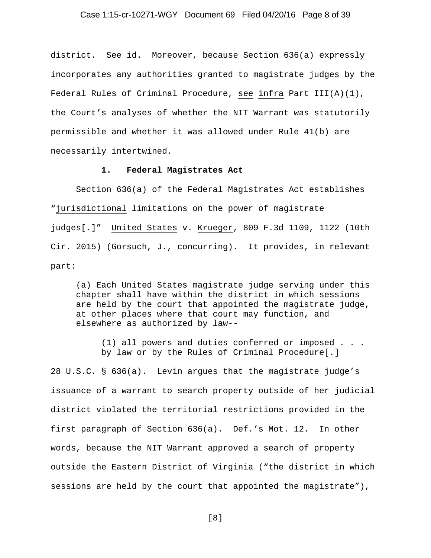#### Case 1:15-cr-10271-WGY Document 69 Filed 04/20/16 Page 8 of 39

district. See id. Moreover, because Section 636(a) expressly incorporates any authorities granted to magistrate judges by the Federal Rules of Criminal Procedure, see infra Part III(A)(1), the Court's analyses of whether the NIT Warrant was statutorily permissible and whether it was allowed under Rule 41(b) are necessarily intertwined.

### **1. Federal Magistrates Act**

Section 636(a) of the Federal Magistrates Act establishes "jurisdictional limitations on the power of magistrate judges[.]" United States v. Krueger, 809 F.3d 1109, 1122 (10th Cir. 2015) (Gorsuch, J., concurring). It provides, in relevant part:

(a) Each United States magistrate judge serving under this chapter shall have within the district in which sessions are held by the court that appointed the magistrate judge, at other places where that court may function, and elsewhere as authorized by law--

(1) all powers and duties conferred or imposed . . . by law or by the Rules of Criminal Procedure[.]

28 U.S.C. § 636(a). Levin argues that the magistrate judge's issuance of a warrant to search property outside of her judicial district violated the territorial restrictions provided in the first paragraph of Section 636(a). Def.'s Mot. 12. In other words, because the NIT Warrant approved a search of property outside the Eastern District of Virginia ("the district in which sessions are held by the court that appointed the magistrate"),

[8]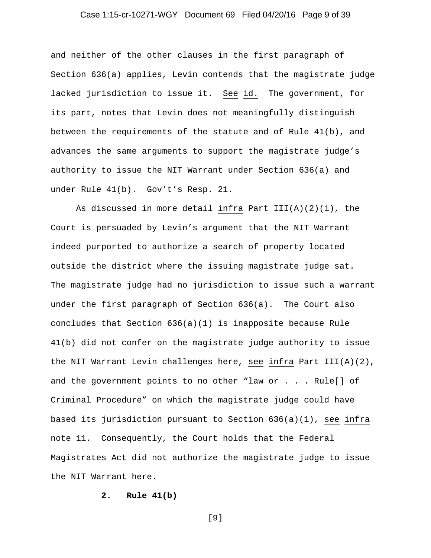### Case 1:15-cr-10271-WGY Document 69 Filed 04/20/16 Page 9 of 39

and neither of the other clauses in the first paragraph of Section 636(a) applies, Levin contends that the magistrate judge lacked jurisdiction to issue it. See id. The government, for its part, notes that Levin does not meaningfully distinguish between the requirements of the statute and of Rule 41(b), and advances the same arguments to support the magistrate judge's authority to issue the NIT Warrant under Section 636(a) and under Rule 41(b). Gov't's Resp. 21.

As discussed in more detail infra Part  $III(A)(2)(i)$ , the Court is persuaded by Levin's argument that the NIT Warrant indeed purported to authorize a search of property located outside the district where the issuing magistrate judge sat. The magistrate judge had no jurisdiction to issue such a warrant under the first paragraph of Section 636(a). The Court also concludes that Section 636(a)(1) is inapposite because Rule 41(b) did not confer on the magistrate judge authority to issue the NIT Warrant Levin challenges here, see infra Part III(A)(2), and the government points to no other "law or . . . Rule[] of Criminal Procedure" on which the magistrate judge could have based its jurisdiction pursuant to Section 636(a)(1), see infra note 11. Consequently, the Court holds that the Federal Magistrates Act did not authorize the magistrate judge to issue the NIT Warrant here.

# **2. Rule 41(b)**

[9]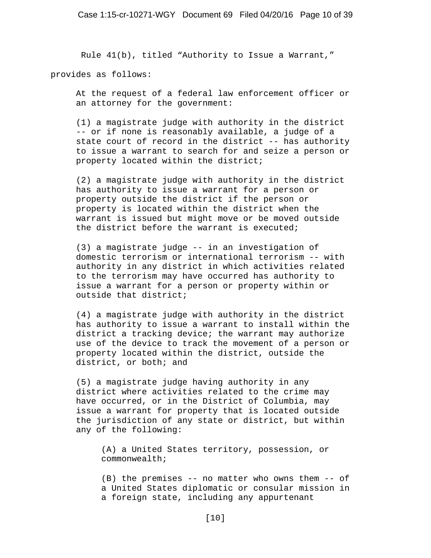Rule 41(b), titled "Authority to Issue a Warrant,"

provides as follows:

At the request of a federal law enforcement officer or an attorney for the government:

(1) a magistrate judge with authority in the district -- or if none is reasonably available, a judge of a state court of record in the district -- has authority to issue a warrant to search for and seize a person or property located within the district;

(2) a magistrate judge with authority in the district has authority to issue a warrant for a person or property outside the district if the person or property is located within the district when the warrant is issued but might move or be moved outside the district before the warrant is executed;

(3) a magistrate judge -- in an investigation of domestic terrorism or international terrorism -- with authority in any district in which activities related to the terrorism may have occurred has authority to issue a warrant for a person or property within or outside that district;

(4) a magistrate judge with authority in the district has authority to issue a warrant to install within the district a tracking device; the warrant may authorize use of the device to track the movement of a person or property located within the district, outside the district, or both; and

(5) a magistrate judge having authority in any district where activities related to the crime may have occurred, or in the District of Columbia, may issue a warrant for property that is located outside the jurisdiction of any state or district, but within any of the following:

(A) a United States territory, possession, or commonwealth;

(B) the premises -- no matter who owns them -- of a United States diplomatic or consular mission in a foreign state, including any appurtenant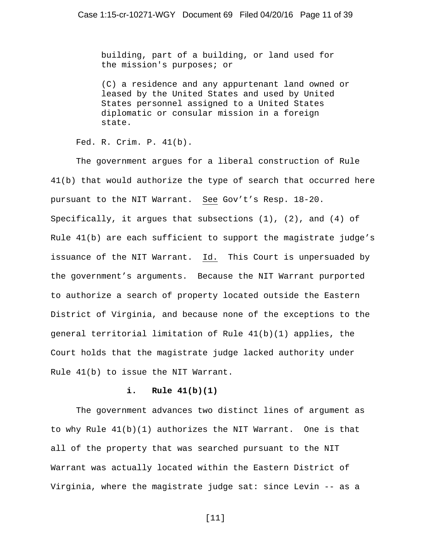building, part of a building, or land used for the mission's purposes; or

(C) a residence and any appurtenant land owned or leased by the United States and used by United States personnel assigned to a United States diplomatic or consular mission in a foreign state.

Fed. R. Crim. P. 41(b).

The government argues for a liberal construction of Rule 41(b) that would authorize the type of search that occurred here pursuant to the NIT Warrant. See Gov't's Resp. 18-20. Specifically, it argues that subsections  $(1)$ ,  $(2)$ , and  $(4)$  of Rule 41(b) are each sufficient to support the magistrate judge's issuance of the NIT Warrant. Id. This Court is unpersuaded by the government's arguments. Because the NIT Warrant purported to authorize a search of property located outside the Eastern District of Virginia, and because none of the exceptions to the general territorial limitation of Rule 41(b)(1) applies, the Court holds that the magistrate judge lacked authority under Rule 41(b) to issue the NIT Warrant.

#### **i. Rule 41(b)(1)**

The government advances two distinct lines of argument as to why Rule 41(b)(1) authorizes the NIT Warrant. One is that all of the property that was searched pursuant to the NIT Warrant was actually located within the Eastern District of Virginia, where the magistrate judge sat: since Levin -- as a

[11]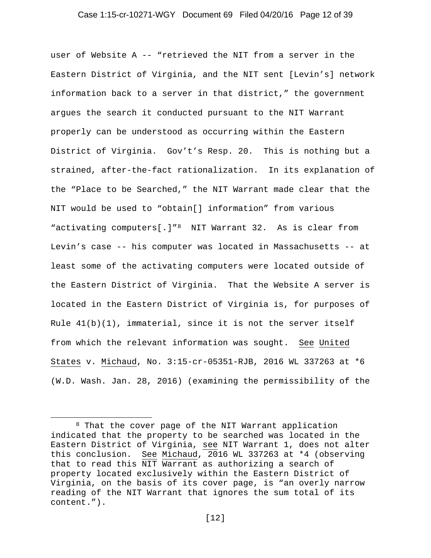### Case 1:15-cr-10271-WGY Document 69 Filed 04/20/16 Page 12 of 39

user of Website A -- "retrieved the NIT from a server in the Eastern District of Virginia, and the NIT sent [Levin's] network information back to a server in that district," the government argues the search it conducted pursuant to the NIT Warrant properly can be understood as occurring within the Eastern District of Virginia. Gov't's Resp. 20. This is nothing but a strained, after-the-fact rationalization. In its explanation of the "Place to be Searched," the NIT Warrant made clear that the NIT would be used to "obtain[] information" from various "activating computers[.]["8](#page-11-0) NIT Warrant 32. As is clear from Levin's case -- his computer was located in Massachusetts -- at least some of the activating computers were located outside of the Eastern District of Virginia. That the Website A server is located in the Eastern District of Virginia is, for purposes of Rule  $41(b)(1)$ , immaterial, since it is not the server itself from which the relevant information was sought. See United States v. Michaud, No. 3:15-cr-05351-RJB, 2016 WL 337263 at \*6 (W.D. Wash. Jan. 28, 2016) (examining the permissibility of the

Ĩ

<span id="page-11-0"></span><sup>&</sup>lt;sup>8</sup> That the cover page of the NIT Warrant application indicated that the property to be searched was located in the Eastern District of Virginia, see NIT Warrant 1, does not alter this conclusion. See Michaud, 2016 WL 337263 at \*4 (observing that to read this NIT Warrant as authorizing a search of property located exclusively within the Eastern District of Virginia, on the basis of its cover page, is "an overly narrow reading of the NIT Warrant that ignores the sum total of its content.").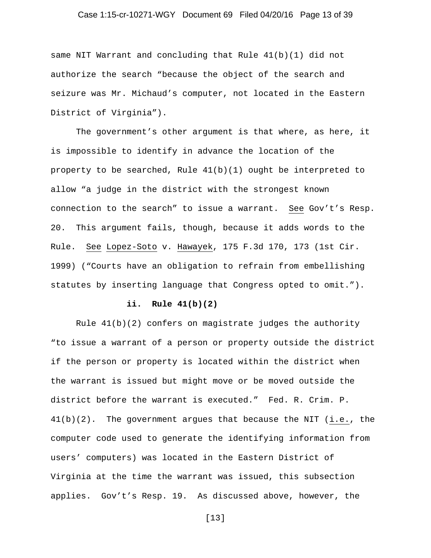### Case 1:15-cr-10271-WGY Document 69 Filed 04/20/16 Page 13 of 39

same NIT Warrant and concluding that Rule 41(b)(1) did not authorize the search "because the object of the search and seizure was Mr. Michaud's computer, not located in the Eastern District of Virginia").

The government's other argument is that where, as here, it is impossible to identify in advance the location of the property to be searched, Rule 41(b)(1) ought be interpreted to allow "a judge in the district with the strongest known connection to the search" to issue a warrant. See Gov't's Resp. 20. This argument fails, though, because it adds words to the Rule. See Lopez-Soto v. Hawayek, 175 F.3d 170, 173 (1st Cir. 1999) ("Courts have an obligation to refrain from embellishing statutes by inserting language that Congress opted to omit.").

#### **ii. Rule 41(b)(2)**

Rule  $41(b)(2)$  confers on magistrate judges the authority "to issue a warrant of a person or property outside the district if the person or property is located within the district when the warrant is issued but might move or be moved outside the district before the warrant is executed." Fed. R. Crim. P. 41(b)(2). The government argues that because the NIT (i.e., the computer code used to generate the identifying information from users' computers) was located in the Eastern District of Virginia at the time the warrant was issued, this subsection applies. Gov't's Resp. 19. As discussed above, however, the

[13]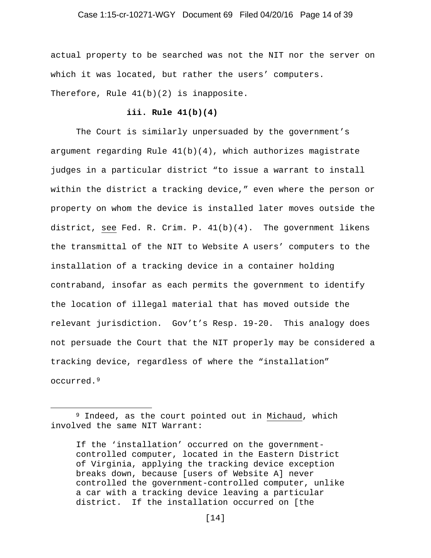### Case 1:15-cr-10271-WGY Document 69 Filed 04/20/16 Page 14 of 39

actual property to be searched was not the NIT nor the server on which it was located, but rather the users' computers. Therefore, Rule  $41(b)(2)$  is inapposite.

### **iii. Rule 41(b)(4)**

The Court is similarly unpersuaded by the government's argument regarding Rule 41(b)(4), which authorizes magistrate judges in a particular district "to issue a warrant to install within the district a tracking device," even where the person or property on whom the device is installed later moves outside the district, see Fed. R. Crim. P.  $41(b)(4)$ . The government likens the transmittal of the NIT to Website A users' computers to the installation of a tracking device in a container holding contraband, insofar as each permits the government to identify the location of illegal material that has moved outside the relevant jurisdiction. Gov't's Resp. 19-20. This analogy does not persuade the Court that the NIT properly may be considered a tracking device, regardless of where the "installation" occurred.[9](#page-13-0)

Ĩ

<span id="page-13-0"></span><sup>&</sup>lt;sup>9</sup> Indeed, as the court pointed out in Michaud, which involved the same NIT Warrant:

If the 'installation' occurred on the governmentcontrolled computer, located in the Eastern District of Virginia, applying the tracking device exception breaks down, because [users of Website A] never controlled the government-controlled computer, unlike a car with a tracking device leaving a particular district. If the installation occurred on [the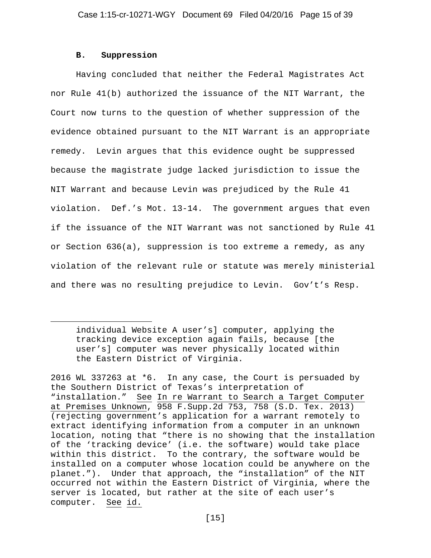#### **B. Suppression**

ł

Having concluded that neither the Federal Magistrates Act nor Rule 41(b) authorized the issuance of the NIT Warrant, the Court now turns to the question of whether suppression of the evidence obtained pursuant to the NIT Warrant is an appropriate remedy. Levin argues that this evidence ought be suppressed because the magistrate judge lacked jurisdiction to issue the NIT Warrant and because Levin was prejudiced by the Rule 41 violation. Def.'s Mot. 13-14. The government argues that even if the issuance of the NIT Warrant was not sanctioned by Rule 41 or Section 636(a), suppression is too extreme a remedy, as any violation of the relevant rule or statute was merely ministerial and there was no resulting prejudice to Levin. Gov't's Resp.

individual Website A user's] computer, applying the tracking device exception again fails, because [the user's] computer was never physically located within the Eastern District of Virginia.

<sup>2016</sup> WL 337263 at \*6. In any case, the Court is persuaded by the Southern District of Texas's interpretation of "installation." See In re Warrant to Search a Target Computer at Premises Unknown, 958 F.Supp.2d 753, 758 (S.D. Tex. 2013) (rejecting government's application for a warrant remotely to extract identifying information from a computer in an unknown location, noting that "there is no showing that the installation of the 'tracking device' (i.e. the software) would take place within this district. To the contrary, the software would be installed on a computer whose location could be anywhere on the planet."). Under that approach, the "installation" of the NIT occurred not within the Eastern District of Virginia, where the server is located, but rather at the site of each user's computer. See id.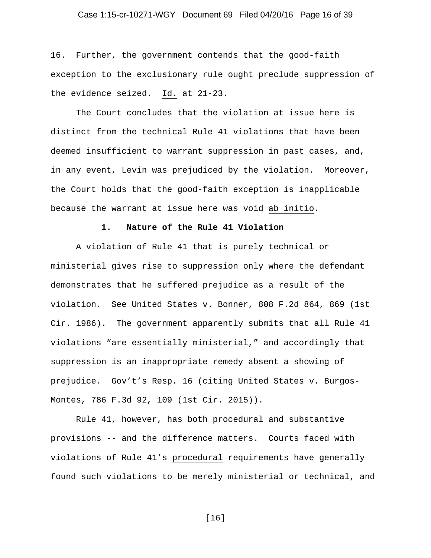### Case 1:15-cr-10271-WGY Document 69 Filed 04/20/16 Page 16 of 39

16. Further, the government contends that the good-faith exception to the exclusionary rule ought preclude suppression of the evidence seized. Id. at 21-23.

The Court concludes that the violation at issue here is distinct from the technical Rule 41 violations that have been deemed insufficient to warrant suppression in past cases, and, in any event, Levin was prejudiced by the violation. Moreover, the Court holds that the good-faith exception is inapplicable because the warrant at issue here was void ab initio.

#### **1. Nature of the Rule 41 Violation**

A violation of Rule 41 that is purely technical or ministerial gives rise to suppression only where the defendant demonstrates that he suffered prejudice as a result of the violation. See United States v. Bonner, 808 F.2d 864, 869 (1st Cir. 1986). The government apparently submits that all Rule 41 violations "are essentially ministerial," and accordingly that suppression is an inappropriate remedy absent a showing of prejudice. Gov't's Resp. 16 (citing United States v. Burgos-Montes, 786 F.3d 92, 109 (1st Cir. 2015)).

Rule 41, however, has both procedural and substantive provisions -- and the difference matters. Courts faced with violations of Rule 41's procedural requirements have generally found such violations to be merely ministerial or technical, and

[16]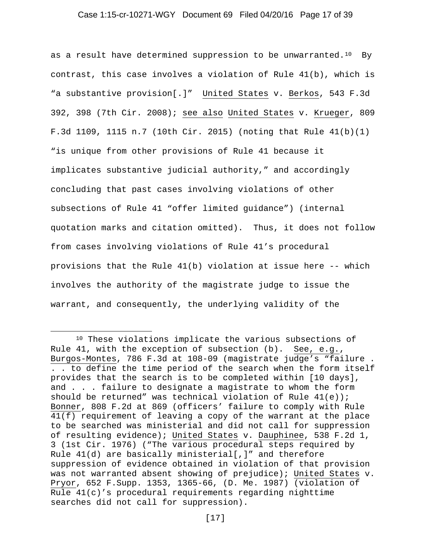### Case 1:15-cr-10271-WGY Document 69 Filed 04/20/16 Page 17 of 39

as a result have determined suppression to be unwarranted.<sup>10</sup> By contrast, this case involves a violation of Rule 41(b), which is "a substantive provision[.]" United States v. Berkos, 543 F.3d 392, 398 (7th Cir. 2008); see also United States v. Krueger, 809 F.3d 1109, 1115 n.7 (10th Cir. 2015) (noting that Rule 41(b)(1) "is unique from other provisions of Rule 41 because it implicates substantive judicial authority," and accordingly concluding that past cases involving violations of other subsections of Rule 41 "offer limited guidance") (internal quotation marks and citation omitted). Thus, it does not follow from cases involving violations of Rule 41's procedural provisions that the Rule 41(b) violation at issue here -- which involves the authority of the magistrate judge to issue the warrant, and consequently, the underlying validity of the

Ĩ

<span id="page-16-0"></span><sup>&</sup>lt;sup>10</sup> These violations implicate the various subsections of Rule 41, with the exception of subsection (b). See, e.g., Burgos-Montes, 786 F.3d at 108-09 (magistrate judge's "failure . . . to define the time period of the search when the form itself provides that the search is to be completed within [10 days], and . . . failure to designate a magistrate to whom the form should be returned" was technical violation of Rule 41(e)); Bonner, 808 F.2d at 869 (officers' failure to comply with Rule 41(f) requirement of leaving a copy of the warrant at the place to be searched was ministerial and did not call for suppression of resulting evidence); United States v. Dauphinee, 538 F.2d 1, 3 (1st Cir. 1976) ("The various procedural steps required by Rule  $41(d)$  are basically ministerial[,]" and therefore suppression of evidence obtained in violation of that provision was not warranted absent showing of prejudice); United States v. Pryor, 652 F.Supp. 1353, 1365-66, (D. Me. 1987) (violation of Rule 41(c)'s procedural requirements regarding nighttime searches did not call for suppression).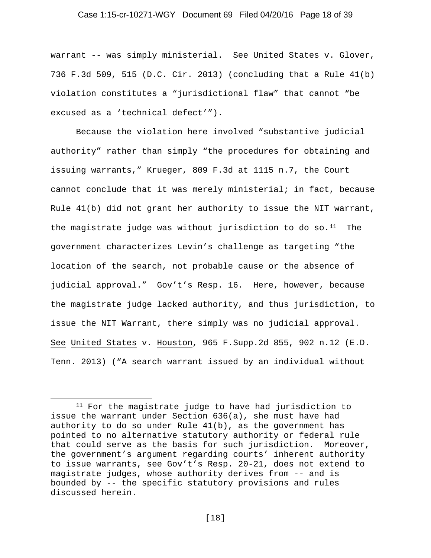### Case 1:15-cr-10271-WGY Document 69 Filed 04/20/16 Page 18 of 39

warrant -- was simply ministerial. See United States v. Glover, 736 F.3d 509, 515 (D.C. Cir. 2013) (concluding that a Rule 41(b) violation constitutes a "jurisdictional flaw" that cannot "be excused as a 'technical defect'").

Because the violation here involved "substantive judicial authority" rather than simply "the procedures for obtaining and issuing warrants," Krueger, 809 F.3d at 1115 n.7, the Court cannot conclude that it was merely ministerial; in fact, because Rule 41(b) did not grant her authority to issue the NIT warrant, the magistrate judge was without jurisdiction to do so. $^{11}$  The government characterizes Levin's challenge as targeting "the location of the search, not probable cause or the absence of judicial approval." Gov't's Resp. 16. Here, however, because the magistrate judge lacked authority, and thus jurisdiction, to issue the NIT Warrant, there simply was no judicial approval. See United States v. Houston, 965 F.Supp.2d 855, 902 n.12 (E.D. Tenn. 2013) ("A search warrant issued by an individual without

<span id="page-17-0"></span>ł <sup>11</sup> For the magistrate judge to have had jurisdiction to issue the warrant under Section 636(a), she must have had authority to do so under Rule 41(b), as the government has pointed to no alternative statutory authority or federal rule that could serve as the basis for such jurisdiction. Moreover, the government's argument regarding courts' inherent authority to issue warrants, see Gov't's Resp. 20-21, does not extend to magistrate judges, whose authority derives from -- and is bounded by -- the specific statutory provisions and rules discussed herein.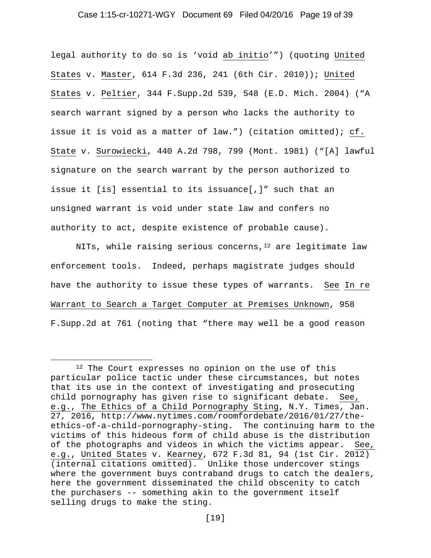### Case 1:15-cr-10271-WGY Document 69 Filed 04/20/16 Page 19 of 39

legal authority to do so is 'void ab initio'") (quoting United States v. Master, 614 F.3d 236, 241 (6th Cir. 2010)); United States v. Peltier, 344 F.Supp.2d 539, 548 (E.D. Mich. 2004) ("A search warrant signed by a person who lacks the authority to issue it is void as a matter of law.") (citation omitted); cf. State v. Surowiecki, 440 A.2d 798, 799 (Mont. 1981) ("[A] lawful signature on the search warrant by the person authorized to issue it [is] essential to its issuance[,]" such that an unsigned warrant is void under state law and confers no authority to act, despite existence of probable cause).

NITs, while raising serious concerns,  $12$  are legitimate law enforcement tools. Indeed, perhaps magistrate judges should have the authority to issue these types of warrants. See In re Warrant to Search a Target Computer at Premises Unknown, 958 F.Supp.2d at 761 (noting that "there may well be a good reason

ł

<span id="page-18-0"></span><sup>&</sup>lt;sup>12</sup> The Court expresses no opinion on the use of this particular police tactic under these circumstances, but notes that its use in the context of investigating and prosecuting child pornography has given rise to significant debate. See, e.g., The Ethics of a Child Pornography Sting, N.Y. Times, Jan. 27, 2016, http://www.nytimes.com/roomfordebate/2016/01/27/theethics-of-a-child-pornography-sting. The continuing harm to the victims of this hideous form of child abuse is the distribution of the photographs and videos in which the victims appear. See, e.g., United States v. Kearney, 672 F.3d 81, 94 (1st Cir. 2012) (internal citations omitted). Unlike those undercover stings where the government buys contraband drugs to catch the dealers, here the government disseminated the child obscenity to catch the purchasers -- something akin to the government itself selling drugs to make the sting.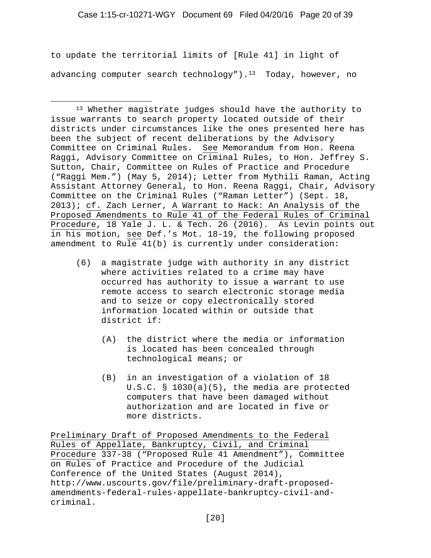## Case 1:15-cr-10271-WGY Document 69 Filed 04/20/16 Page 20 of 39

to update the territorial limits of [Rule 41] in light of advancing computer search technology").<sup>[13](#page-19-0)</sup> Today, however, no

- (6) a magistrate judge with authority in any district where activities related to a crime may have occurred has authority to issue a warrant to use remote access to search electronic storage media and to seize or copy electronically stored information located within or outside that district if:
	- (A) the district where the media or information is located has been concealed through technological means; or
	- (B) in an investigation of a violation of 18 U.S.C. § 1030(a)(5), the media are protected computers that have been damaged without authorization and are located in five or more districts.

Preliminary Draft of Proposed Amendments to the Federal Rules of Appellate, Bankruptcy, Civil, and Criminal Procedure 337-38 ("Proposed Rule 41 Amendment"), Committee on Rules of Practice and Procedure of the Judicial Conference of the United States (August 2014), http://www.uscourts.gov/file/preliminary-draft-proposedamendments-federal-rules-appellate-bankruptcy-civil-andcriminal.

<span id="page-19-0"></span>Ĩ <sup>13</sup> Whether magistrate judges should have the authority to issue warrants to search property located outside of their districts under circumstances like the ones presented here has been the subject of recent deliberations by the Advisory Committee on Criminal Rules. See Memorandum from Hon. Reena Raggi, Advisory Committee on Criminal Rules, to Hon. Jeffrey S. Sutton, Chair, Committee on Rules of Practice and Procedure ("Raggi Mem.") (May 5, 2014); Letter from Mythili Raman, Acting Assistant Attorney General, to Hon. Reena Raggi, Chair, Advisory Committee on the Criminal Rules ("Raman Letter") (Sept. 18, 2013); cf. Zach Lerner, A Warrant to Hack: An Analysis of the Proposed Amendments to Rule 41 of the Federal Rules of Criminal Procedure, 18 Yale J. L. & Tech. 26 (2016). As Levin points out in his motion, see Def.'s Mot. 18-19, the following proposed amendment to Rule 41(b) is currently under consideration: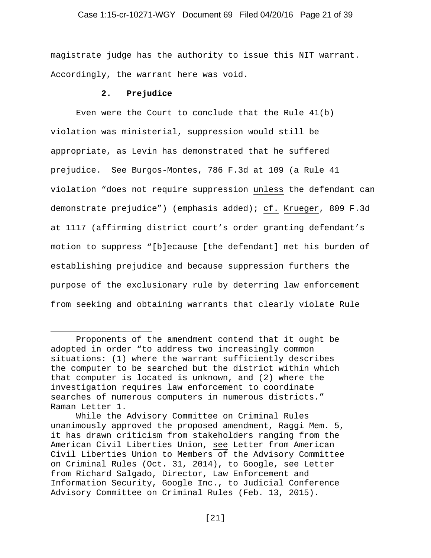magistrate judge has the authority to issue this NIT warrant. Accordingly, the warrant here was void.

## **2. Prejudice**

Ĩ

Even were the Court to conclude that the Rule 41(b) violation was ministerial, suppression would still be appropriate, as Levin has demonstrated that he suffered prejudice. See Burgos-Montes, 786 F.3d at 109 (a Rule 41 violation "does not require suppression unless the defendant can demonstrate prejudice") (emphasis added); cf. Krueger, 809 F.3d at 1117 (affirming district court's order granting defendant's motion to suppress "[b]ecause [the defendant] met his burden of establishing prejudice and because suppression furthers the purpose of the exclusionary rule by deterring law enforcement from seeking and obtaining warrants that clearly violate Rule

Proponents of the amendment contend that it ought be adopted in order "to address two increasingly common situations: (1) where the warrant sufficiently describes the computer to be searched but the district within which that computer is located is unknown, and (2) where the investigation requires law enforcement to coordinate searches of numerous computers in numerous districts." Raman Letter 1.

While the Advisory Committee on Criminal Rules unanimously approved the proposed amendment, Raggi Mem. 5, it has drawn criticism from stakeholders ranging from the American Civil Liberties Union, see Letter from American Civil Liberties Union to Members of the Advisory Committee on Criminal Rules (Oct. 31, 2014), to Google, see Letter from Richard Salgado, Director, Law Enforcement and Information Security, Google Inc., to Judicial Conference Advisory Committee on Criminal Rules (Feb. 13, 2015).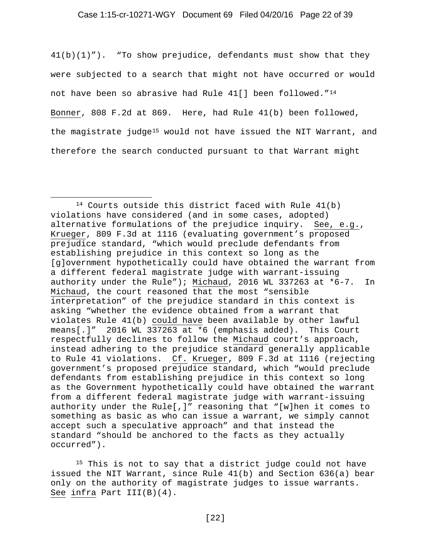### Case 1:15-cr-10271-WGY Document 69 Filed 04/20/16 Page 22 of 39

41(b)(1)"). "To show prejudice, defendants must show that they were subjected to a search that might not have occurred or would not have been so abrasive had Rule 41[] been followed.["14](#page-21-0) Bonner, 808 F.2d at 869. Here, had Rule 41(b) been followed, the magistrate judge<sup>[15](#page-21-1)</sup> would not have issued the NIT Warrant, and therefore the search conducted pursuant to that Warrant might

ł

<span id="page-21-0"></span><sup>14</sup> Courts outside this district faced with Rule 41(b) violations have considered (and in some cases, adopted) alternative formulations of the prejudice inquiry. See, e.g., Krueger, 809 F.3d at 1116 (evaluating government's proposed prejudice standard, "which would preclude defendants from establishing prejudice in this context so long as the [g]overnment hypothetically could have obtained the warrant from a different federal magistrate judge with warrant-issuing authority under the Rule"); Michaud, 2016 WL 337263 at \*6-7. In Michaud, the court reasoned that the most "sensible interpretation" of the prejudice standard in this context is asking "whether the evidence obtained from a warrant that violates Rule 41(b) could have been available by other lawful means[.]" 2016 WL 337263 at \*6 (emphasis added). This Court respectfully declines to follow the Michaud court's approach, instead adhering to the prejudice standard generally applicable to Rule 41 violations. Cf. Krueger, 809 F.3d at 1116 (rejecting government's proposed prejudice standard, which "would preclude defendants from establishing prejudice in this context so long as the Government hypothetically could have obtained the warrant from a different federal magistrate judge with warrant-issuing authority under the Rule[,]" reasoning that "[w]hen it comes to something as basic as who can issue a warrant, we simply cannot accept such a speculative approach" and that instead the standard "should be anchored to the facts as they actually occurred").

<span id="page-21-1"></span><sup>&</sup>lt;sup>15</sup> This is not to say that a district judge could not have issued the NIT Warrant, since Rule 41(b) and Section 636(a) bear only on the authority of magistrate judges to issue warrants. See infra Part III(B)(4).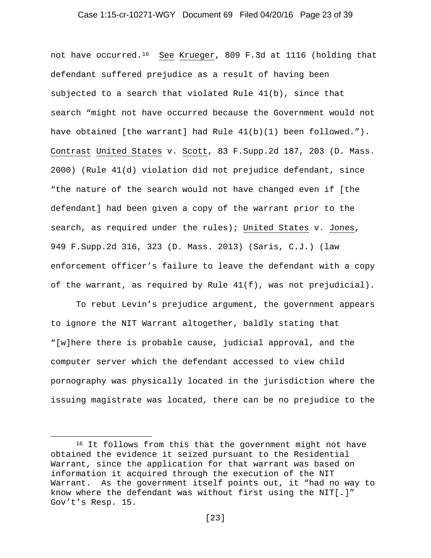### Case 1:15-cr-10271-WGY Document 69 Filed 04/20/16 Page 23 of 39

not have occurred.[16](#page-22-0) See Krueger, 809 F.3d at 1116 (holding that defendant suffered prejudice as a result of having been subjected to a search that violated Rule 41(b), since that search "might not have occurred because the Government would not have obtained [the warrant] had Rule 41(b)(1) been followed."). Contrast United States v. Scott, 83 F.Supp.2d 187, 203 (D. Mass. 2000) (Rule 41(d) violation did not prejudice defendant, since "the nature of the search would not have changed even if [the defendant] had been given a copy of the warrant prior to the search, as required under the rules); United States v. Jones, 949 F.Supp.2d 316, 323 (D. Mass. 2013) (Saris, C.J.) (law enforcement officer's failure to leave the defendant with a copy of the warrant, as required by Rule 41(f), was not prejudicial).

To rebut Levin's prejudice argument, the government appears to ignore the NIT Warrant altogether, baldly stating that "[w]here there is probable cause, judicial approval, and the computer server which the defendant accessed to view child pornography was physically located in the jurisdiction where the issuing magistrate was located, there can be no prejudice to the

ł

<span id="page-22-0"></span><sup>&</sup>lt;sup>16</sup> It follows from this that the government might not have obtained the evidence it seized pursuant to the Residential Warrant, since the application for that warrant was based on information it acquired through the execution of the NIT Warrant. As the government itself points out, it "had no way to know where the defendant was without first using the NIT[.]" Gov't's Resp. 15.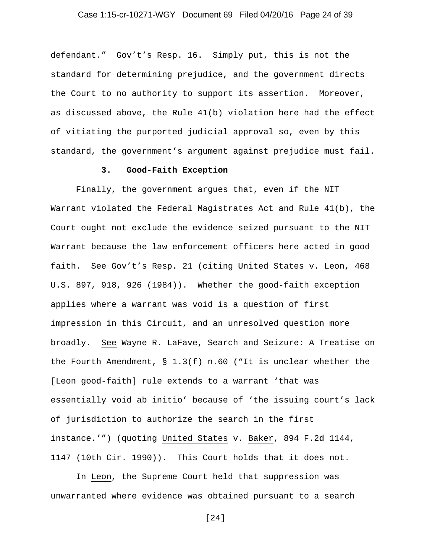### Case 1:15-cr-10271-WGY Document 69 Filed 04/20/16 Page 24 of 39

defendant." Gov't's Resp. 16. Simply put, this is not the standard for determining prejudice, and the government directs the Court to no authority to support its assertion. Moreover, as discussed above, the Rule 41(b) violation here had the effect of vitiating the purported judicial approval so, even by this standard, the government's argument against prejudice must fail.

#### **3. Good-Faith Exception**

Finally, the government argues that, even if the NIT Warrant violated the Federal Magistrates Act and Rule 41(b), the Court ought not exclude the evidence seized pursuant to the NIT Warrant because the law enforcement officers here acted in good faith. See Gov't's Resp. 21 (citing United States v. Leon, 468 U.S. 897, 918, 926 (1984)). Whether the good-faith exception applies where a warrant was void is a question of first impression in this Circuit, and an unresolved question more broadly. See Wayne R. LaFave, Search and Seizure: A Treatise on the Fourth Amendment,  $\S$  1.3(f) n.60 ("It is unclear whether the [Leon good-faith] rule extends to a warrant 'that was essentially void ab initio' because of 'the issuing court's lack of jurisdiction to authorize the search in the first instance.'") (quoting United States v. Baker, 894 F.2d 1144, 1147 (10th Cir. 1990)). This Court holds that it does not.

In Leon, the Supreme Court held that suppression was unwarranted where evidence was obtained pursuant to a search

[24]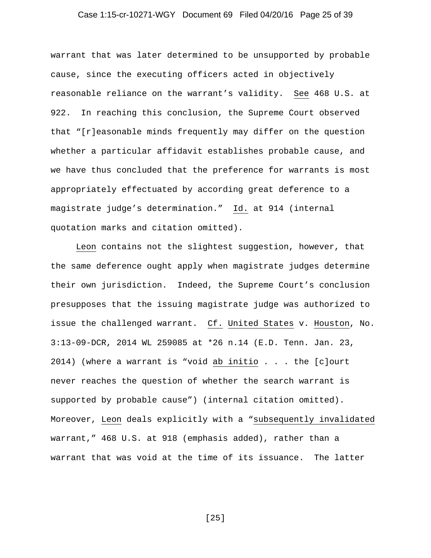### Case 1:15-cr-10271-WGY Document 69 Filed 04/20/16 Page 25 of 39

warrant that was later determined to be unsupported by probable cause, since the executing officers acted in objectively reasonable reliance on the warrant's validity. See 468 U.S. at 922. In reaching this conclusion, the Supreme Court observed that "[r]easonable minds frequently may differ on the question whether a particular affidavit establishes probable cause, and we have thus concluded that the preference for warrants is most appropriately effectuated by according great deference to a magistrate judge's determination." Id. at 914 (internal quotation marks and citation omitted).

Leon contains not the slightest suggestion, however, that the same deference ought apply when magistrate judges determine their own jurisdiction. Indeed, the Supreme Court's conclusion presupposes that the issuing magistrate judge was authorized to issue the challenged warrant. Cf. United States v. Houston, No. 3:13-09-DCR, 2014 WL 259085 at \*26 n.14 (E.D. Tenn. Jan. 23, 2014) (where a warrant is "void ab initio . . . the [c]ourt never reaches the question of whether the search warrant is supported by probable cause") (internal citation omitted). Moreover, Leon deals explicitly with a "subsequently invalidated warrant," 468 U.S. at 918 (emphasis added), rather than a warrant that was void at the time of its issuance. The latter

[25]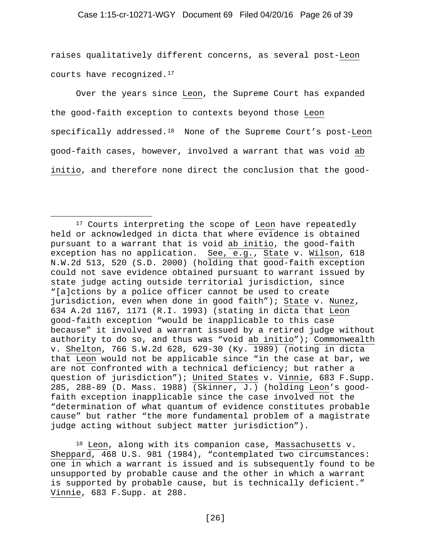### Case 1:15-cr-10271-WGY Document 69 Filed 04/20/16 Page 26 of 39

raises qualitatively different concerns, as several post-Leon courts have recognized.[17](#page-25-0)

Over the years since Leon, the Supreme Court has expanded the good-faith exception to contexts beyond those Leon specifically addressed.<sup>[18](#page-25-1)</sup> None of the Supreme Court's post-Leon good-faith cases, however, involved a warrant that was void ab initio, and therefore none direct the conclusion that the good-

Ĩ

<span id="page-25-1"></span> $18$  Leon, along with its companion case, Massachusetts v. Sheppard, 468 U.S. 981 (1984), "contemplated two circumstances: one in which a warrant is issued and is subsequently found to be unsupported by probable cause and the other in which a warrant is supported by probable cause, but is technically deficient." Vinnie, 683 F.Supp. at 288.

<span id="page-25-0"></span><sup>&</sup>lt;sup>17</sup> Courts interpreting the scope of Leon have repeatedly held or acknowledged in dicta that where evidence is obtained pursuant to a warrant that is void ab initio, the good-faith exception has no application. See, e.g., State v. Wilson, 618 N.W.2d 513, 520 (S.D. 2000) (holding that good-faith exception could not save evidence obtained pursuant to warrant issued by state judge acting outside territorial jurisdiction, since "[a]ctions by a police officer cannot be used to create jurisdiction, even when done in good faith"); State v. Nunez, 634 A.2d 1167, 1171 (R.I. 1993) (stating in dicta that Leon good-faith exception "would be inapplicable to this case because" it involved a warrant issued by a retired judge without authority to do so, and thus was "void ab initio"); Commonwealth v. Shelton, 766 S.W.2d 628, 629-30 (Ky. 1989) (noting in dicta that Leon would not be applicable since "in the case at bar, we are not confronted with a technical deficiency; but rather a question of jurisdiction"); United States v. Vinnie, 683 F.Supp. 285, 288-89 (D. Mass. 1988) (Skinner, J.) (holding Leon's goodfaith exception inapplicable since the case involved not the "determination of what quantum of evidence constitutes probable cause" but rather "the more fundamental problem of a magistrate judge acting without subject matter jurisdiction").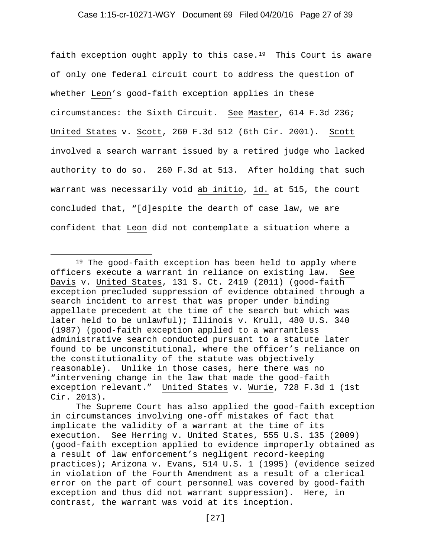faith exception ought apply to this case.<sup>[19](#page-26-0)</sup> This Court is aware of only one federal circuit court to address the question of whether Leon's good-faith exception applies in these circumstances: the Sixth Circuit. See Master, 614 F.3d 236; United States v. Scott, 260 F.3d 512 (6th Cir. 2001). Scott involved a search warrant issued by a retired judge who lacked authority to do so. 260 F.3d at 513. After holding that such warrant was necessarily void ab initio, id. at 515, the court concluded that, "[d]espite the dearth of case law, we are confident that Leon did not contemplate a situation where a

ł

<span id="page-26-0"></span><sup>&</sup>lt;sup>19</sup> The good-faith exception has been held to apply where officers execute a warrant in reliance on existing law. See Davis v. United States, 131 S. Ct. 2419 (2011) (good-faith exception precluded suppression of evidence obtained through a search incident to arrest that was proper under binding appellate precedent at the time of the search but which was later held to be unlawful); Illinois v. Krull, 480 U.S. 340 (1987) (good-faith exception applied to a warrantless administrative search conducted pursuant to a statute later found to be unconstitutional, where the officer's reliance on the constitutionality of the statute was objectively reasonable). Unlike in those cases, here there was no "intervening change in the law that made the good-faith exception relevant." United States v. Wurie, 728 F.3d 1 (1st Cir. 2013).

The Supreme Court has also applied the good-faith exception in circumstances involving one-off mistakes of fact that implicate the validity of a warrant at the time of its execution. See Herring v. United States, 555 U.S. 135 (2009) (good-faith exception applied to evidence improperly obtained as a result of law enforcement's negligent record-keeping practices); Arizona v. Evans, 514 U.S. 1 (1995) (evidence seized in violation of the Fourth Amendment as a result of a clerical error on the part of court personnel was covered by good-faith exception and thus did not warrant suppression). Here, in contrast, the warrant was void at its inception.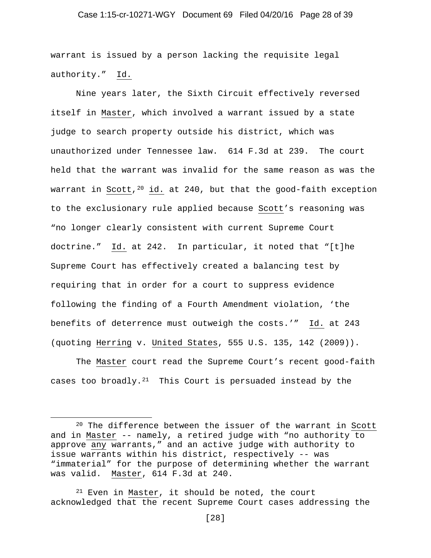### Case 1:15-cr-10271-WGY Document 69 Filed 04/20/16 Page 28 of 39

warrant is issued by a person lacking the requisite legal authority." Id.

Nine years later, the Sixth Circuit effectively reversed itself in Master, which involved a warrant issued by a state judge to search property outside his district, which was unauthorized under Tennessee law. 614 F.3d at 239. The court held that the warrant was invalid for the same reason as was the warrant in Scott,  $20$  id. at 240, but that the good-faith exception to the exclusionary rule applied because Scott's reasoning was "no longer clearly consistent with current Supreme Court doctrine." Id. at 242. In particular, it noted that "[t]he Supreme Court has effectively created a balancing test by requiring that in order for a court to suppress evidence following the finding of a Fourth Amendment violation, 'the benefits of deterrence must outweigh the costs.'" Id. at 243 (quoting Herring v. United States, 555 U.S. 135, 142 (2009)).

The Master court read the Supreme Court's recent good-faith cases too broadly. $21$  This Court is persuaded instead by the

Ĩ

<span id="page-27-0"></span><sup>20</sup> The difference between the issuer of the warrant in Scott and in Master -- namely, a retired judge with "no authority to approve any warrants," and an active judge with authority to issue warrants within his district, respectively -- was "immaterial" for the purpose of determining whether the warrant was valid. Master, 614 F.3d at 240.

<span id="page-27-1"></span><sup>&</sup>lt;sup>21</sup> Even in Master, it should be noted, the court acknowledged that the recent Supreme Court cases addressing the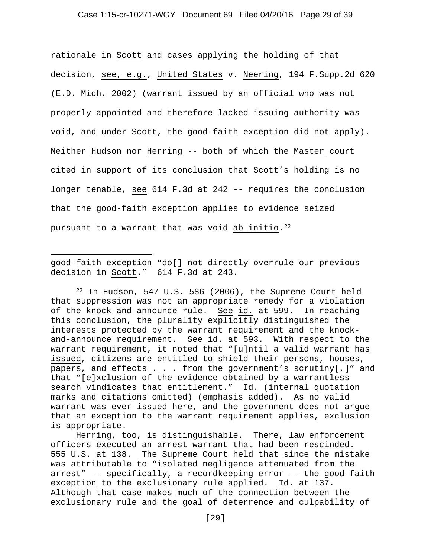### Case 1:15-cr-10271-WGY Document 69 Filed 04/20/16 Page 29 of 39

rationale in Scott and cases applying the holding of that decision, see, e.g., United States v. Neering, 194 F.Supp.2d 620 (E.D. Mich. 2002) (warrant issued by an official who was not properly appointed and therefore lacked issuing authority was void, and under Scott, the good-faith exception did not apply). Neither Hudson nor Herring -- both of which the Master court cited in support of its conclusion that Scott's holding is no longer tenable, see 614 F.3d at 242 -- requires the conclusion that the good-faith exception applies to evidence seized pursuant to a warrant that was void ab initio.<sup>[22](#page-28-0)</sup>

good-faith exception "do[] not directly overrule our previous decision in Scott." 614 F.3d at 243.

ł

<span id="page-28-0"></span><sup>22</sup> In Hudson, 547 U.S. 586 (2006), the Supreme Court held that suppression was not an appropriate remedy for a violation of the knock-and-announce rule. See id. at 599. In reaching this conclusion, the plurality explicitly distinguished the interests protected by the warrant requirement and the knockand-announce requirement. See id. at 593. With respect to the warrant requirement, it noted that "[u]ntil a valid warrant has issued, citizens are entitled to shield their persons, houses, papers, and effects . . . from the government's scrutiny[,]" and that "[e]xclusion of the evidence obtained by a warrantless search vindicates that entitlement." Id. (internal quotation marks and citations omitted) (emphasis added). As no valid warrant was ever issued here, and the government does not argue that an exception to the warrant requirement applies, exclusion is appropriate.

Herring, too, is distinguishable. There, law enforcement officers executed an arrest warrant that had been rescinded. 555 U.S. at 138. The Supreme Court held that since the mistake was attributable to "isolated negligence attenuated from the arrest" -- specifically, a recordkeeping error –- the good-faith exception to the exclusionary rule applied. Id. at 137. Although that case makes much of the connection between the exclusionary rule and the goal of deterrence and culpability of

[29]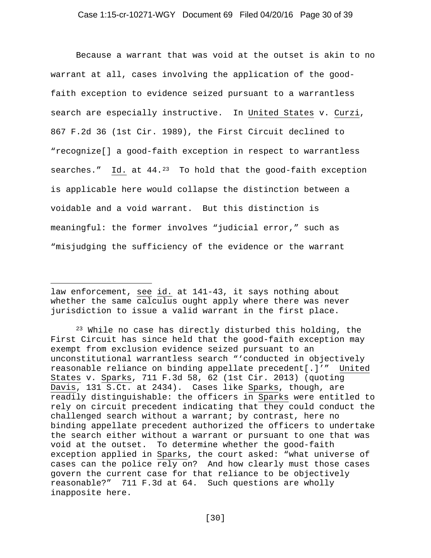Because a warrant that was void at the outset is akin to no warrant at all, cases involving the application of the goodfaith exception to evidence seized pursuant to a warrantless search are especially instructive. In United States v. Curzi, 867 F.2d 36 (1st Cir. 1989), the First Circuit declined to "recognize[] a good-faith exception in respect to warrantless searches." Id. at 44.<sup>[23](#page-29-0)</sup> To hold that the good-faith exception is applicable here would collapse the distinction between a voidable and a void warrant. But this distinction is meaningful: the former involves "judicial error," such as "misjudging the sufficiency of the evidence or the warrant

law enforcement, see id. at 141-43, it says nothing about whether the same calculus ought apply where there was never jurisdiction to issue a valid warrant in the first place.

ł

<span id="page-29-0"></span><sup>23</sup> While no case has directly disturbed this holding, the First Circuit has since held that the good-faith exception may exempt from exclusion evidence seized pursuant to an unconstitutional warrantless search "'conducted in objectively reasonable reliance on binding appellate precedent[.]'" United States v. Sparks, 711 F.3d 58, 62 (1st Cir. 2013) (quoting Davis, 131 S.Ct. at 2434). Cases like Sparks, though, are readily distinguishable: the officers in Sparks were entitled to rely on circuit precedent indicating that they could conduct the challenged search without a warrant; by contrast, here no binding appellate precedent authorized the officers to undertake the search either without a warrant or pursuant to one that was void at the outset. To determine whether the good-faith exception applied in Sparks, the court asked: "what universe of cases can the police rely on? And how clearly must those cases govern the current case for that reliance to be objectively reasonable?" 711 F.3d at 64. Such questions are wholly inapposite here.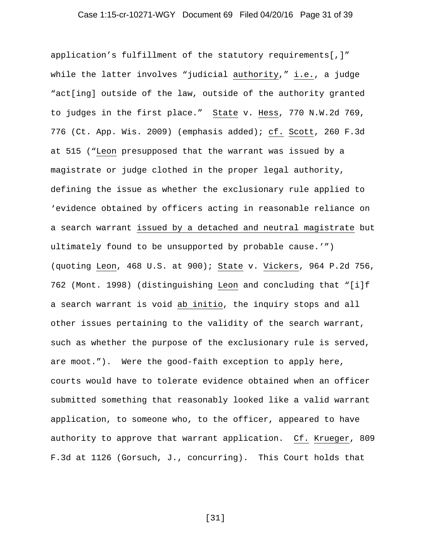### Case 1:15-cr-10271-WGY Document 69 Filed 04/20/16 Page 31 of 39

application's fulfillment of the statutory requirements[,]" while the latter involves "judicial authority," i.e., a judge "act[ing] outside of the law, outside of the authority granted to judges in the first place." State v. Hess, 770 N.W.2d 769, 776 (Ct. App. Wis. 2009) (emphasis added); cf. Scott, 260 F.3d at 515 ("Leon presupposed that the warrant was issued by a magistrate or judge clothed in the proper legal authority, defining the issue as whether the exclusionary rule applied to 'evidence obtained by officers acting in reasonable reliance on a search warrant issued by a detached and neutral magistrate but ultimately found to be unsupported by probable cause.'") (quoting Leon, 468 U.S. at 900); State v. Vickers, 964 P.2d 756, 762 (Mont. 1998) (distinguishing Leon and concluding that "[i]f a search warrant is void ab initio, the inquiry stops and all other issues pertaining to the validity of the search warrant, such as whether the purpose of the exclusionary rule is served, are moot."). Were the good-faith exception to apply here, courts would have to tolerate evidence obtained when an officer submitted something that reasonably looked like a valid warrant application, to someone who, to the officer, appeared to have authority to approve that warrant application. Cf. Krueger, 809 F.3d at 1126 (Gorsuch, J., concurring). This Court holds that

[31]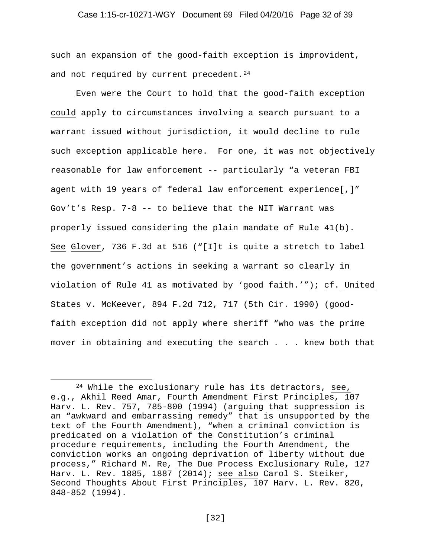### Case 1:15-cr-10271-WGY Document 69 Filed 04/20/16 Page 32 of 39

such an expansion of the good-faith exception is improvident, and not required by current precedent.  $24$ 

Even were the Court to hold that the good-faith exception could apply to circumstances involving a search pursuant to a warrant issued without jurisdiction, it would decline to rule such exception applicable here. For one, it was not objectively reasonable for law enforcement -- particularly "a veteran FBI agent with 19 years of federal law enforcement experience[,]" Gov't's Resp. 7-8 -- to believe that the NIT Warrant was properly issued considering the plain mandate of Rule 41(b). See Glover, 736 F.3d at 516 ("[I]t is quite a stretch to label the government's actions in seeking a warrant so clearly in violation of Rule 41 as motivated by 'good faith.'"); cf. United States v. McKeever, 894 F.2d 712, 717 (5th Cir. 1990) (goodfaith exception did not apply where sheriff "who was the prime mover in obtaining and executing the search . . . knew both that

Ĩ

<span id="page-31-0"></span><sup>24</sup> While the exclusionary rule has its detractors, see, e.g., Akhil Reed Amar, Fourth Amendment First Principles, 107 Harv. L. Rev. 757, 785-800 (1994) (arguing that suppression is an "awkward and embarrassing remedy" that is unsupported by the text of the Fourth Amendment), "when a criminal conviction is predicated on a violation of the Constitution's criminal procedure requirements, including the Fourth Amendment, the conviction works an ongoing deprivation of liberty without due process," Richard M. Re, The Due Process Exclusionary Rule, 127 Harv. L. Rev. 1885, 1887 (2014); see also Carol S. Steiker, Second Thoughts About First Principles, 107 Harv. L. Rev. 820, 848-852 (1994).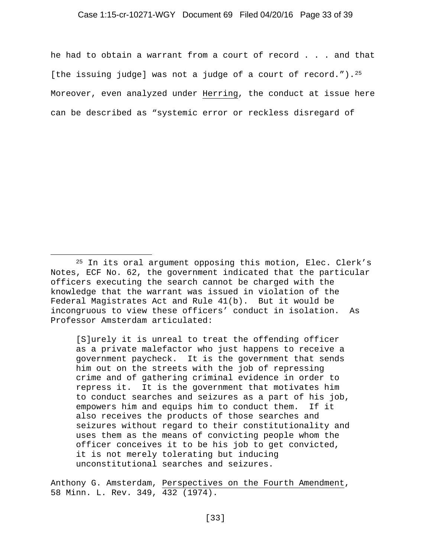### Case 1:15-cr-10271-WGY Document 69 Filed 04/20/16 Page 33 of 39

he had to obtain a warrant from a court of record . . . and that [the issuing judge] was not a judge of a court of record.").  $2^5$ Moreover, even analyzed under Herring, the conduct at issue here can be described as "systemic error or reckless disregard of

ł

[S]urely it is unreal to treat the offending officer as a private malefactor who just happens to receive a government paycheck. It is the government that sends him out on the streets with the job of repressing crime and of gathering criminal evidence in order to repress it. It is the government that motivates him to conduct searches and seizures as a part of his job, empowers him and equips him to conduct them. If it also receives the products of those searches and seizures without regard to their constitutionality and uses them as the means of convicting people whom the officer conceives it to be his job to get convicted, it is not merely tolerating but inducing unconstitutional searches and seizures.

Anthony G. Amsterdam, Perspectives on the Fourth Amendment, 58 Minn. L. Rev. 349, 432 (1974).

<span id="page-32-0"></span><sup>25</sup> In its oral argument opposing this motion, Elec. Clerk's Notes, ECF No. 62, the government indicated that the particular officers executing the search cannot be charged with the knowledge that the warrant was issued in violation of the Federal Magistrates Act and Rule 41(b). But it would be incongruous to view these officers' conduct in isolation. As Professor Amsterdam articulated: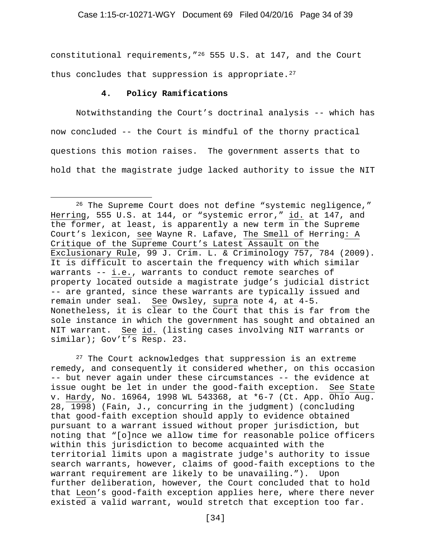constitutional requirements,"[26](#page-33-0) 555 U.S. at 147, and the Court thus concludes that suppression is appropriate.<sup>[27](#page-33-1)</sup>

## **4. Policy Ramifications**

ł

Notwithstanding the Court's doctrinal analysis -- which has now concluded -- the Court is mindful of the thorny practical questions this motion raises. The government asserts that to hold that the magistrate judge lacked authority to issue the NIT

<span id="page-33-1"></span><sup>27</sup> The Court acknowledges that suppression is an extreme remedy, and consequently it considered whether, on this occasion -- but never again under these circumstances -- the evidence at issue ought be let in under the good-faith exception. See State v. Hardy, No. 16964, 1998 WL 543368, at \*6-7 (Ct. App. Ohio Aug. 28, 1998) (Fain, J., concurring in the judgment) (concluding that good-faith exception should apply to evidence obtained pursuant to a warrant issued without proper jurisdiction, but noting that "[o]nce we allow time for reasonable police officers within this jurisdiction to become acquainted with the territorial limits upon a magistrate judge's authority to issue search warrants, however, claims of good-faith exceptions to the warrant requirement are likely to be unavailing."). Upon further deliberation, however, the Court concluded that to hold that Leon's good-faith exception applies here, where there never existed a valid warrant, would stretch that exception too far.

<span id="page-33-0"></span><sup>&</sup>lt;sup>26</sup> The Supreme Court does not define "systemic negligence," Herring, 555 U.S. at 144, or "systemic error," id. at 147, and the former, at least, is apparently a new term in the Supreme Court's lexicon, see Wayne R. Lafave, The Smell of Herring: A Critique of the Supreme Court's Latest Assault on the Exclusionary Rule, 99 J. Crim. L. & Criminology 757, 784 (2009). It is difficult to ascertain the frequency with which similar warrants -- i.e., warrants to conduct remote searches of property located outside a magistrate judge's judicial district -- are granted, since these warrants are typically issued and remain under seal. See Owsley, supra note 4, at 4-5. Nonetheless, it is clear to the Court that this is far from the sole instance in which the government has sought and obtained an NIT warrant. See id. (listing cases involving NIT warrants or similar); Gov't's Resp. 23.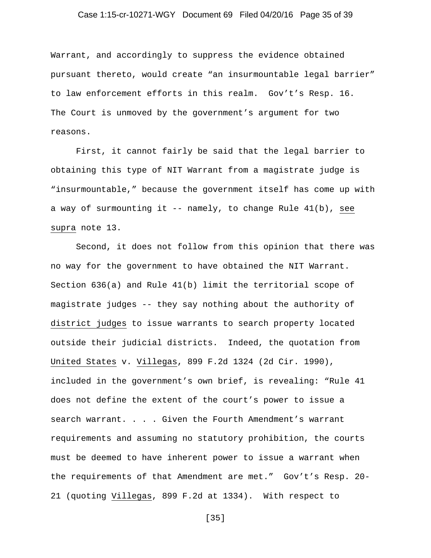### Case 1:15-cr-10271-WGY Document 69 Filed 04/20/16 Page 35 of 39

Warrant, and accordingly to suppress the evidence obtained pursuant thereto, would create "an insurmountable legal barrier" to law enforcement efforts in this realm. Gov't's Resp. 16. The Court is unmoved by the government's argument for two reasons.

First, it cannot fairly be said that the legal barrier to obtaining this type of NIT Warrant from a magistrate judge is "insurmountable," because the government itself has come up with a way of surmounting it  $-$  namely, to change Rule  $41(b)$ , see supra note 13.

Second, it does not follow from this opinion that there was no way for the government to have obtained the NIT Warrant. Section 636(a) and Rule 41(b) limit the territorial scope of magistrate judges -- they say nothing about the authority of district judges to issue warrants to search property located outside their judicial districts. Indeed, the quotation from United States v. Villegas, 899 F.2d 1324 (2d Cir. 1990), included in the government's own brief, is revealing: "Rule 41 does not define the extent of the court's power to issue a search warrant. . . . Given the Fourth Amendment's warrant requirements and assuming no statutory prohibition, the courts must be deemed to have inherent power to issue a warrant when the requirements of that Amendment are met." Gov't's Resp. 20- 21 (quoting Villegas, 899 F.2d at 1334). With respect to

[35]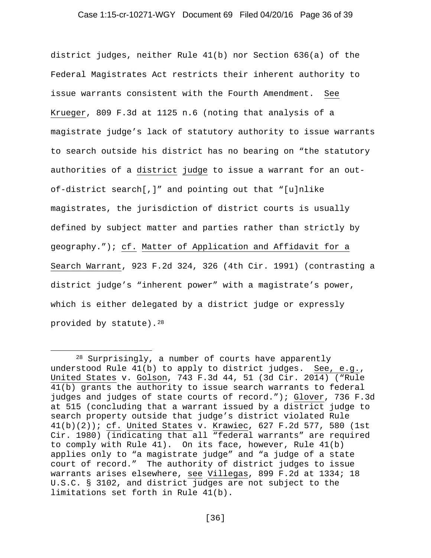### Case 1:15-cr-10271-WGY Document 69 Filed 04/20/16 Page 36 of 39

district judges, neither Rule 41(b) nor Section 636(a) of the Federal Magistrates Act restricts their inherent authority to issue warrants consistent with the Fourth Amendment. See Krueger, 809 F.3d at 1125 n.6 (noting that analysis of a magistrate judge's lack of statutory authority to issue warrants to search outside his district has no bearing on "the statutory authorities of a district judge to issue a warrant for an outof-district search[,]" and pointing out that "[u]nlike magistrates, the jurisdiction of district courts is usually defined by subject matter and parties rather than strictly by geography."); cf. Matter of Application and Affidavit for a Search Warrant, 923 F.2d 324, 326 (4th Cir. 1991) (contrasting a district judge's "inherent power" with a magistrate's power, which is either delegated by a district judge or expressly provided by statute).[28](#page-35-0)

<span id="page-35-0"></span>Ξ <sup>28</sup> Surprisingly, a number of courts have apparently understood Rule 41(b) to apply to district judges. See, e.g., United States v. Golson, 743 F.3d 44, 51 (3d Cir. 2014) ("Rule 41(b) grants the authority to issue search warrants to federal judges and judges of state courts of record."); Glover, 736 F.3d at 515 (concluding that a warrant issued by a district judge to search property outside that judge's district violated Rule 41(b)(2)); cf. United States v. Krawiec, 627 F.2d 577, 580 (1st Cir. 1980) (indicating that all "federal warrants" are required to comply with Rule 41). On its face, however, Rule 41(b) applies only to "a magistrate judge" and "a judge of a state court of record." The authority of district judges to issue warrants arises elsewhere, see Villegas, 899 F.2d at 1334; 18 U.S.C. § 3102, and district judges are not subject to the limitations set forth in Rule 41(b).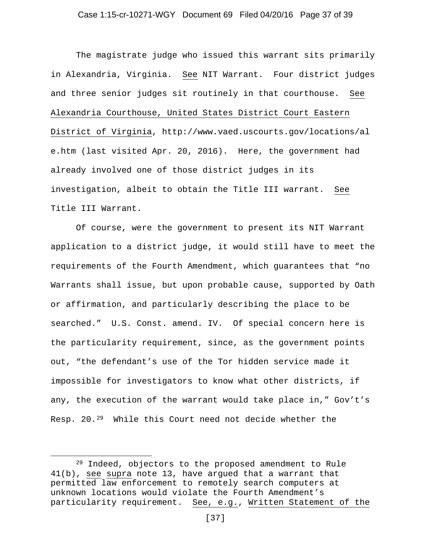The magistrate judge who issued this warrant sits primarily in Alexandria, Virginia. See NIT Warrant. Four district judges and three senior judges sit routinely in that courthouse. See Alexandria Courthouse, United States District Court Eastern District of Virginia, http://www.vaed.uscourts.gov/locations/al e.htm (last visited Apr. 20, 2016). Here, the government had already involved one of those district judges in its investigation, albeit to obtain the Title III warrant. See Title III Warrant.

Of course, were the government to present its NIT Warrant application to a district judge, it would still have to meet the requirements of the Fourth Amendment, which guarantees that "no Warrants shall issue, but upon probable cause, supported by Oath or affirmation, and particularly describing the place to be searched." U.S. Const. amend. IV. Of special concern here is the particularity requirement, since, as the government points out, "the defendant's use of the Tor hidden service made it impossible for investigators to know what other districts, if any, the execution of the warrant would take place in," Gov't's Resp. 20.[29](#page-36-0) While this Court need not decide whether the

Ĩ

<span id="page-36-0"></span><sup>29</sup> Indeed, objectors to the proposed amendment to Rule 41(b), see supra note 13, have argued that a warrant that permitted law enforcement to remotely search computers at unknown locations would violate the Fourth Amendment's particularity requirement. See, e.g., Written Statement of the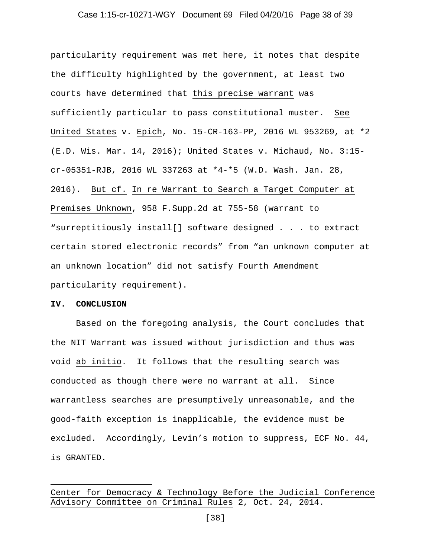### Case 1:15-cr-10271-WGY Document 69 Filed 04/20/16 Page 38 of 39

particularity requirement was met here, it notes that despite the difficulty highlighted by the government, at least two courts have determined that this precise warrant was sufficiently particular to pass constitutional muster. See United States v. Epich, No. 15-CR-163-PP, 2016 WL 953269, at \*2 (E.D. Wis. Mar. 14, 2016); United States v. Michaud, No. 3:15 cr-05351-RJB, 2016 WL 337263 at \*4-\*5 (W.D. Wash. Jan. 28, 2016). But cf. In re Warrant to Search a Target Computer at Premises Unknown, 958 F.Supp.2d at 755-58 (warrant to "surreptitiously install[] software designed . . . to extract certain stored electronic records" from "an unknown computer at an unknown location" did not satisfy Fourth Amendment particularity requirement).

#### **IV. CONCLUSION**

Ĩ

Based on the foregoing analysis, the Court concludes that the NIT Warrant was issued without jurisdiction and thus was void ab initio. It follows that the resulting search was conducted as though there were no warrant at all. Since warrantless searches are presumptively unreasonable, and the good-faith exception is inapplicable, the evidence must be excluded. Accordingly, Levin's motion to suppress, ECF No. 44, is GRANTED.

Center for Democracy & Technology Before the Judicial Conference Advisory Committee on Criminal Rules 2, Oct. 24, 2014.